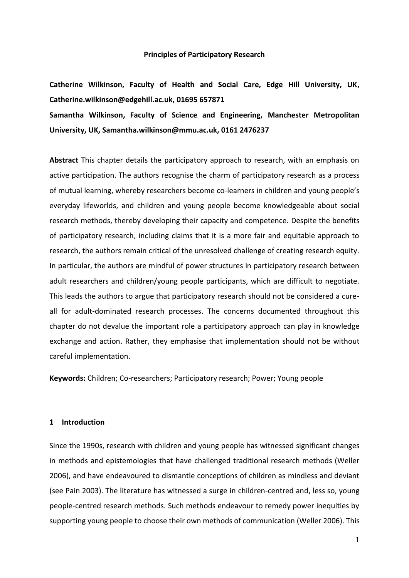### **Principles of Participatory Research**

**Catherine Wilkinson, Faculty of Health and Social Care, Edge Hill University, UK, Catherine.wilkinson@edgehill.ac.uk, 01695 657871**

**Samantha Wilkinson, Faculty of Science and Engineering, Manchester Metropolitan University, UK, Samantha.wilkinson@mmu.ac.uk, 0161 2476237**

**Abstract** This chapter details the participatory approach to research, with an emphasis on active participation. The authors recognise the charm of participatory research as a process of mutual learning, whereby researchers become co-learners in children and young people's everyday lifeworlds, and children and young people become knowledgeable about social research methods, thereby developing their capacity and competence. Despite the benefits of participatory research, including claims that it is a more fair and equitable approach to research, the authors remain critical of the unresolved challenge of creating research equity. In particular, the authors are mindful of power structures in participatory research between adult researchers and children/young people participants, which are difficult to negotiate. This leads the authors to argue that participatory research should not be considered a cureall for adult-dominated research processes. The concerns documented throughout this chapter do not devalue the important role a participatory approach can play in knowledge exchange and action. Rather, they emphasise that implementation should not be without careful implementation.

**Keywords:** Children; Co-researchers; Participatory research; Power; Young people

#### **1 Introduction**

Since the 1990s, research with children and young people has witnessed significant changes in methods and epistemologies that have challenged traditional research methods (Weller 2006), and have endeavoured to dismantle conceptions of children as mindless and deviant (see Pain 2003). The literature has witnessed a surge in children-centred and, less so, young people-centred research methods. Such methods endeavour to remedy power inequities by supporting young people to choose their own methods of communication (Weller 2006). This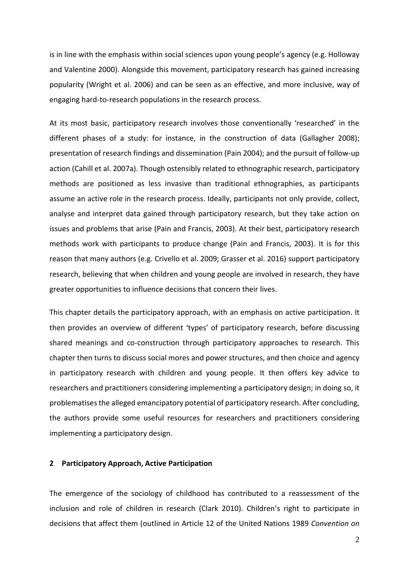is in line with the emphasis within social sciences upon young people's agency (e.g. Holloway and Valentine 2000). Alongside this movement, participatory research has gained increasing popularity (Wright et al. 2006) and can be seen as an effective, and more inclusive, way of engaging hard-to-research populations in the research process.

At its most basic, participatory research involves those conventionally 'researched' in the different phases of a study: for instance, in the construction of data (Gallagher 2008); presentation of research findings and dissemination (Pain 2004); and the pursuit of follow-up action (Cahill et al. 2007a). Though ostensibly related to ethnographic research, participatory methods are positioned as less invasive than traditional ethnographies, as participants assume an active role in the research process. Ideally, participants not only provide, collect, analyse and interpret data gained through participatory research, but they take action on issues and problems that arise (Pain and Francis, 2003). At their best, participatory research methods work with participants to produce change (Pain and Francis, 2003). It is for this reason that many authors (e.g. Crivello et al. 2009; Grasser et al. 2016) support participatory research, believing that when children and young people are involved in research, they have greater opportunities to influence decisions that concern their lives.

This chapter details the participatory approach, with an emphasis on active participation. It then provides an overview of different 'types' of participatory research, before discussing shared meanings and co-construction through participatory approaches to research. This chapter then turns to discuss social mores and power structures, and then choice and agency in participatory research with children and young people. It then offers key advice to researchers and practitioners considering implementing a participatory design; in doing so, it problematises the alleged emancipatory potential of participatory research. After concluding, the authors provide some useful resources for researchers and practitioners considering implementing a participatory design.

## **2 Participatory Approach, Active Participation**

The emergence of the sociology of childhood has contributed to a reassessment of the inclusion and role of children in research (Clark 2010). Children's right to participate in decisions that affect them (outlined in Article 12 of the United Nations 1989 *Convention on*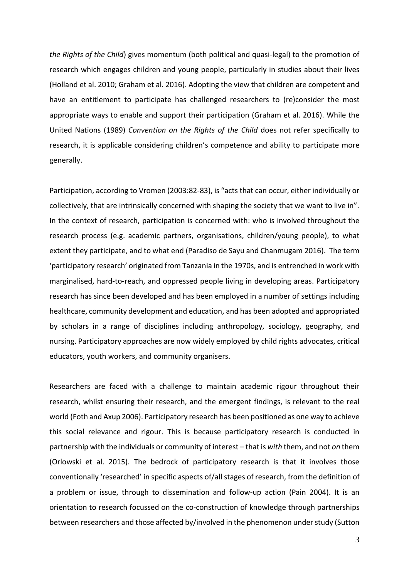*the Rights of the Child*) gives momentum (both political and quasi-legal) to the promotion of research which engages children and young people, particularly in studies about their lives (Holland et al. 2010; Graham et al. 2016). Adopting the view that children are competent and have an entitlement to participate has challenged researchers to (re)consider the most appropriate ways to enable and support their participation (Graham et al. 2016). While the United Nations (1989) *Convention on the Rights of the Child* does not refer specifically to research, it is applicable considering children's competence and ability to participate more generally.

Participation, according to Vromen (2003:82-83), is "acts that can occur, either individually or collectively, that are intrinsically concerned with shaping the society that we want to live in". In the context of research, participation is concerned with: who is involved throughout the research process (e.g. academic partners, organisations, children/young people), to what extent they participate, and to what end (Paradiso de Sayu and Chanmugam 2016). The term 'participatory research' originated from Tanzania in the 1970s, and is entrenched in work with marginalised, hard-to-reach, and oppressed people living in developing areas. Participatory research has since been developed and has been employed in a number of settings including healthcare, community development and education, and has been adopted and appropriated by scholars in a range of disciplines including anthropology, sociology, geography, and nursing. Participatory approaches are now widely employed by child rights advocates, critical educators, youth workers, and community organisers.

Researchers are faced with a challenge to maintain academic rigour throughout their research, whilst ensuring their research, and the emergent findings, is relevant to the real world (Foth and Axup 2006). Participatory research has been positioned as one way to achieve this social relevance and rigour. This is because participatory research is conducted in partnership with the individuals or community of interest – that is *with* them, and not *on* them (Orlowski et al. 2015). The bedrock of participatory research is that it involves those conventionally 'researched' in specific aspects of/all stages of research, from the definition of a problem or issue, through to dissemination and follow-up action (Pain 2004). It is an orientation to research focussed on the co-construction of knowledge through partnerships between researchers and those affected by/involved in the phenomenon under study (Sutton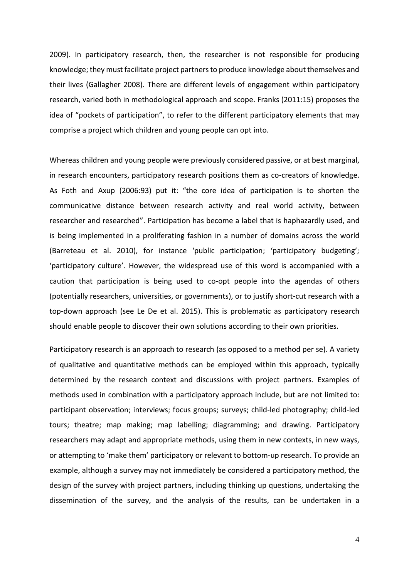2009). In participatory research, then, the researcher is not responsible for producing knowledge; they must facilitate project partners to produce knowledge about themselves and their lives (Gallagher 2008). There are different levels of engagement within participatory research, varied both in methodological approach and scope. Franks (2011:15) proposes the idea of "pockets of participation", to refer to the different participatory elements that may comprise a project which children and young people can opt into.

Whereas children and young people were previously considered passive, or at best marginal, in research encounters, participatory research positions them as co-creators of knowledge. As Foth and Axup (2006:93) put it: "the core idea of participation is to shorten the communicative distance between research activity and real world activity, between researcher and researched". Participation has become a label that is haphazardly used, and is being implemented in a proliferating fashion in a number of domains across the world (Barreteau et al. 2010), for instance 'public participation; 'participatory budgeting'; 'participatory culture'. However, the widespread use of this word is accompanied with a caution that participation is being used to co-opt people into the agendas of others (potentially researchers, universities, or governments), or to justify short-cut research with a top-down approach (see Le De et al. 2015). This is problematic as participatory research should enable people to discover their own solutions according to their own priorities.

Participatory research is an approach to research (as opposed to a method per se). A variety of qualitative and quantitative methods can be employed within this approach, typically determined by the research context and discussions with project partners. Examples of methods used in combination with a participatory approach include, but are not limited to: participant observation; interviews; focus groups; surveys; child-led photography; child-led tours; theatre; map making; map labelling; diagramming; and drawing. Participatory researchers may adapt and appropriate methods, using them in new contexts, in new ways, or attempting to 'make them' participatory or relevant to bottom-up research. To provide an example, although a survey may not immediately be considered a participatory method, the design of the survey with project partners, including thinking up questions, undertaking the dissemination of the survey, and the analysis of the results, can be undertaken in a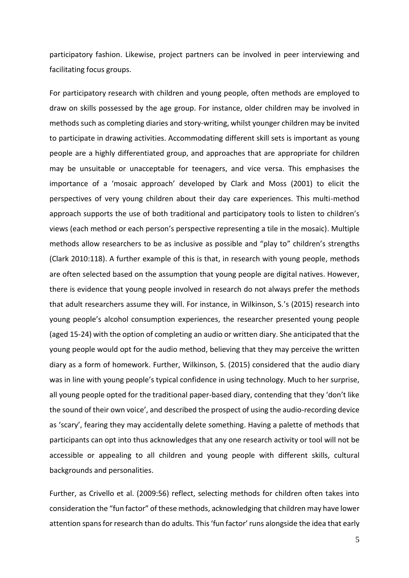participatory fashion. Likewise, project partners can be involved in peer interviewing and facilitating focus groups.

For participatory research with children and young people, often methods are employed to draw on skills possessed by the age group. For instance, older children may be involved in methods such as completing diaries and story-writing, whilst younger children may be invited to participate in drawing activities. Accommodating different skill sets is important as young people are a highly differentiated group, and approaches that are appropriate for children may be unsuitable or unacceptable for teenagers, and vice versa. This emphasises the importance of a 'mosaic approach' developed by Clark and Moss (2001) to elicit the perspectives of very young children about their day care experiences. This multi-method approach supports the use of both traditional and participatory tools to listen to children's views (each method or each person's perspective representing a tile in the mosaic). Multiple methods allow researchers to be as inclusive as possible and "play to" children's strengths (Clark 2010:118). A further example of this is that, in research with young people, methods are often selected based on the assumption that young people are digital natives. However, there is evidence that young people involved in research do not always prefer the methods that adult researchers assume they will. For instance, in Wilkinson, S.'s (2015) research into young people's alcohol consumption experiences, the researcher presented young people (aged 15-24) with the option of completing an audio or written diary. She anticipated that the young people would opt for the audio method, believing that they may perceive the written diary as a form of homework. Further, Wilkinson, S. (2015) considered that the audio diary was in line with young people's typical confidence in using technology. Much to her surprise, all young people opted for the traditional paper-based diary, contending that they 'don't like the sound of their own voice', and described the prospect of using the audio-recording device as 'scary', fearing they may accidentally delete something. Having a palette of methods that participants can opt into thus acknowledges that any one research activity or tool will not be accessible or appealing to all children and young people with different skills, cultural backgrounds and personalities.

Further, as Crivello et al. (2009:56) reflect, selecting methods for children often takes into consideration the "fun factor" of these methods, acknowledging that children may have lower attention spans for research than do adults. This 'fun factor' runs alongside the idea that early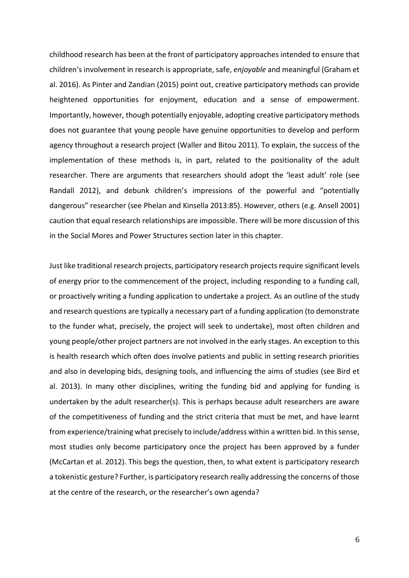childhood research has been at the front of participatory approaches intended to ensure that children's involvement in research is appropriate, safe, *enjoyable* and meaningful (Graham et al. 2016). As Pinter and Zandian (2015) point out, creative participatory methods can provide heightened opportunities for enjoyment, education and a sense of empowerment. Importantly, however, though potentially enjoyable, adopting creative participatory methods does not guarantee that young people have genuine opportunities to develop and perform agency throughout a research project (Waller and Bitou 2011). To explain, the success of the implementation of these methods is, in part, related to the positionality of the adult researcher. There are arguments that researchers should adopt the 'least adult' role (see Randall 2012), and debunk children's impressions of the powerful and "potentially dangerous" researcher (see Phelan and Kinsella 2013:85). However, others (e.g. Ansell 2001) caution that equal research relationships are impossible. There will be more discussion of this in the Social Mores and Power Structures section later in this chapter.

Just like traditional research projects, participatory research projects require significant levels of energy prior to the commencement of the project, including responding to a funding call, or proactively writing a funding application to undertake a project. As an outline of the study and research questions are typically a necessary part of a funding application (to demonstrate to the funder what, precisely, the project will seek to undertake), most often children and young people/other project partners are not involved in the early stages. An exception to this is health research which often does involve patients and public in setting research priorities and also in developing bids, designing tools, and influencing the aims of studies (see Bird et al. 2013). In many other disciplines, writing the funding bid and applying for funding is undertaken by the adult researcher(s). This is perhaps because adult researchers are aware of the competitiveness of funding and the strict criteria that must be met, and have learnt from experience/training what precisely to include/address within a written bid. In this sense, most studies only become participatory once the project has been approved by a funder (McCartan et al. 2012). This begs the question, then, to what extent is participatory research a tokenistic gesture? Further, is participatory research really addressing the concerns of those at the centre of the research, or the researcher's own agenda?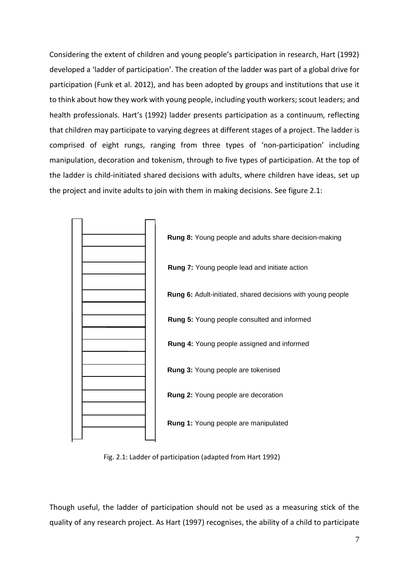Considering the extent of children and young people's participation in research, Hart (1992) developed a 'ladder of participation'. The creation of the ladder was part of a global drive for participation (Funk et al. 2012), and has been adopted by groups and institutions that use it to think about how they work with young people, including youth workers; scout leaders; and health professionals. Hart's (1992) ladder presents participation as a continuum, reflecting that children may participate to varying degrees at different stages of a project. The ladder is comprised of eight rungs, ranging from three types of 'non-participation' including manipulation, decoration and tokenism, through to five types of participation. At the top of the ladder is child-initiated shared decisions with adults, where children have ideas, set up the project and invite adults to join with them in making decisions. See figure 2.1:



**Rung 1:** Young people are manipulated **Rung 2:** Young people are decoration **Rung 3:** Young people are tokenised **Rung 4:** Young people assigned and informed **Rung 5:** Young people consulted and informed **Rung 6:** Adult-initiated, shared decisions with young people **Rung 7:** Young people lead and initiate action **Rung 8:** Young people and adults share decision-making

Fig. 2.1: Ladder of participation (adapted from Hart 1992)

Though useful, the ladder of participation should not be used as a measuring stick of the quality of any research project. As Hart (1997) recognises, the ability of a child to participate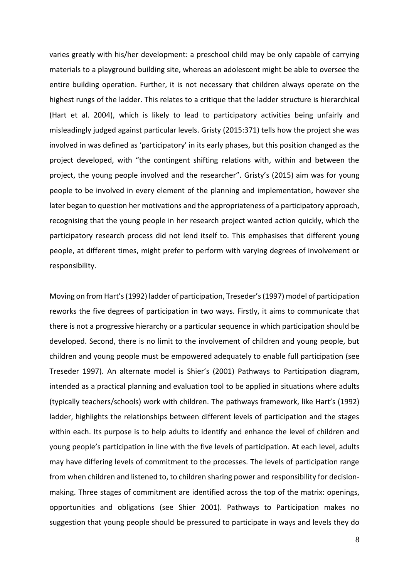varies greatly with his/her development: a preschool child may be only capable of carrying materials to a playground building site, whereas an adolescent might be able to oversee the entire building operation. Further, it is not necessary that children always operate on the highest rungs of the ladder. This relates to a critique that the ladder structure is hierarchical (Hart et al. 2004), which is likely to lead to participatory activities being unfairly and misleadingly judged against particular levels. Gristy (2015:371) tells how the project she was involved in was defined as 'participatory' in its early phases, but this position changed as the project developed, with "the contingent shifting relations with, within and between the project, the young people involved and the researcher". Gristy's (2015) aim was for young people to be involved in every element of the planning and implementation, however she later began to question her motivations and the appropriateness of a participatory approach, recognising that the young people in her research project wanted action quickly, which the participatory research process did not lend itself to. This emphasises that different young people, at different times, might prefer to perform with varying degrees of involvement or responsibility.

Moving on from Hart's (1992) ladder of participation, Treseder's (1997) model of participation reworks the five degrees of participation in two ways. Firstly, it aims to communicate that there is not a progressive hierarchy or a particular sequence in which participation should be developed. Second, there is no limit to the involvement of children and young people, but children and young people must be empowered adequately to enable full participation (see Treseder 1997). An alternate model is Shier's (2001) Pathways to Participation diagram, intended as a practical planning and evaluation tool to be applied in situations where adults (typically teachers/schools) work with children. The pathways framework, like Hart's (1992) ladder, highlights the relationships between different levels of participation and the stages within each. Its purpose is to help adults to identify and enhance the level of children and young people's participation in line with the five levels of participation. At each level, adults may have differing levels of commitment to the processes. The levels of participation range from when children and listened to, to children sharing power and responsibility for decisionmaking. Three stages of commitment are identified across the top of the matrix: openings, opportunities and obligations (see Shier 2001). Pathways to Participation makes no suggestion that young people should be pressured to participate in ways and levels they do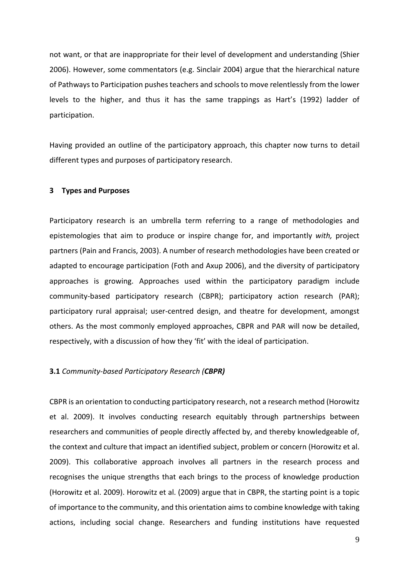not want, or that are inappropriate for their level of development and understanding (Shier 2006). However, some commentators (e.g. Sinclair 2004) argue that the hierarchical nature of Pathways to Participation pushes teachers and schoolsto move relentlessly from the lower levels to the higher, and thus it has the same trappings as Hart's (1992) ladder of participation.

Having provided an outline of the participatory approach, this chapter now turns to detail different types and purposes of participatory research.

### **3 Types and Purposes**

Participatory research is an umbrella term referring to a range of methodologies and epistemologies that aim to produce or inspire change for, and importantly *with,* project partners (Pain and Francis, 2003). A number of research methodologies have been created or adapted to encourage participation (Foth and Axup 2006), and the diversity of participatory approaches is growing. Approaches used within the participatory paradigm include community-based participatory research (CBPR); participatory action research (PAR); participatory rural appraisal; user-centred design, and theatre for development, amongst others. As the most commonly employed approaches, CBPR and PAR will now be detailed, respectively, with a discussion of how they 'fit' with the ideal of participation.

### **3.1** *Community-based Participatory Research (CBPR)*

CBPR is an orientation to conducting participatory research, not a research method (Horowitz et al. 2009). It involves conducting research equitably through partnerships between researchers and communities of people directly affected by, and thereby knowledgeable of, the context and culture that impact an identified subject, problem or concern (Horowitz et al. 2009). This collaborative approach involves all partners in the research process and recognises the unique strengths that each brings to the process of knowledge production (Horowitz et al. 2009). Horowitz et al. (2009) argue that in CBPR, the starting point is a topic of importance to the community, and this orientation aims to combine knowledge with taking actions, including social change. Researchers and funding institutions have requested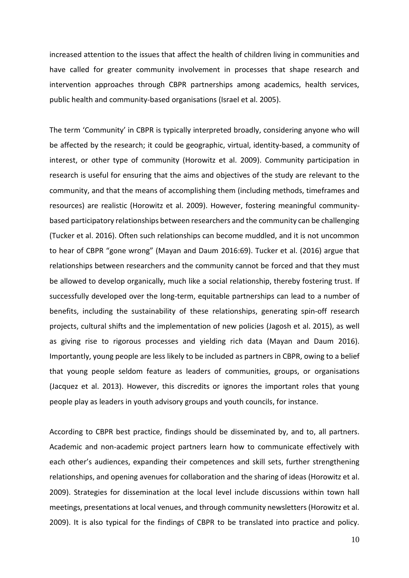increased attention to the issues that affect the health of children living in communities and have called for greater community involvement in processes that shape research and intervention approaches through CBPR partnerships among academics, health services, public health and community-based organisations (Israel et al. 2005).

The term 'Community' in CBPR is typically interpreted broadly, considering anyone who will be affected by the research; it could be geographic, virtual, identity-based, a community of interest, or other type of community (Horowitz et al. 2009). Community participation in research is useful for ensuring that the aims and objectives of the study are relevant to the community, and that the means of accomplishing them (including methods, timeframes and resources) are realistic (Horowitz et al. 2009). However, fostering meaningful communitybased participatory relationships between researchers and the community can be challenging (Tucker et al. 2016). Often such relationships can become muddled, and it is not uncommon to hear of CBPR "gone wrong" (Mayan and Daum 2016:69). Tucker et al. (2016) argue that relationships between researchers and the community cannot be forced and that they must be allowed to develop organically, much like a social relationship, thereby fostering trust. If successfully developed over the long-term, equitable partnerships can lead to a number of benefits, including the sustainability of these relationships, generating spin-off research projects, cultural shifts and the implementation of new policies (Jagosh et al. 2015), as well as giving rise to rigorous processes and yielding rich data (Mayan and Daum 2016). Importantly, young people are less likely to be included as partners in CBPR, owing to a belief that young people seldom feature as leaders of communities, groups, or organisations (Jacquez et al. 2013). However, this discredits or ignores the important roles that young people play as leaders in youth advisory groups and youth councils, for instance.

According to CBPR best practice, findings should be disseminated by, and to, all partners. Academic and non-academic project partners learn how to communicate effectively with each other's audiences, expanding their competences and skill sets, further strengthening relationships, and opening avenues for collaboration and the sharing of ideas (Horowitz et al. 2009). Strategies for dissemination at the local level include discussions within town hall meetings, presentations at local venues, and through community newsletters (Horowitz et al. 2009). It is also typical for the findings of CBPR to be translated into practice and policy.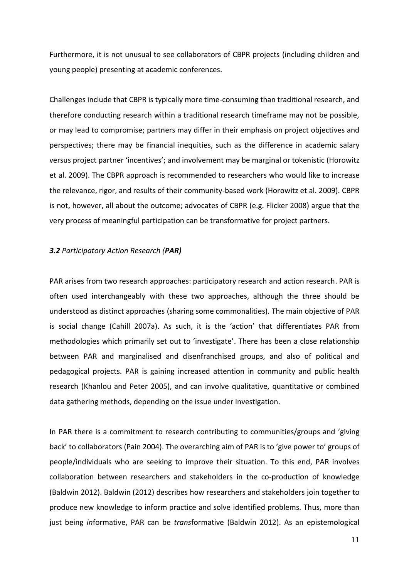Furthermore, it is not unusual to see collaborators of CBPR projects (including children and young people) presenting at academic conferences.

Challenges include that CBPR is typically more time-consuming than traditional research, and therefore conducting research within a traditional research timeframe may not be possible, or may lead to compromise; partners may differ in their emphasis on project objectives and perspectives; there may be financial inequities, such as the difference in academic salary versus project partner 'incentives'; and involvement may be marginal or tokenistic (Horowitz et al. 2009). The CBPR approach is recommended to researchers who would like to increase the relevance, rigor, and results of their community-based work (Horowitz et al. 2009). CBPR is not, however, all about the outcome; advocates of CBPR (e.g. Flicker 2008) argue that the very process of meaningful participation can be transformative for project partners.

### *3.2 Participatory Action Research (PAR)*

PAR arises from two research approaches: participatory research and action research. PAR is often used interchangeably with these two approaches, although the three should be understood as distinct approaches (sharing some commonalities). The main objective of PAR is social change (Cahill 2007a). As such, it is the 'action' that differentiates PAR from methodologies which primarily set out to 'investigate'. There has been a close relationship between PAR and marginalised and disenfranchised groups, and also of political and pedagogical projects. PAR is gaining increased attention in community and public health research (Khanlou and Peter 2005), and can involve qualitative, quantitative or combined data gathering methods, depending on the issue under investigation.

In PAR there is a commitment to research contributing to communities/groups and 'giving back' to collaborators (Pain 2004). The overarching aim of PAR is to 'give power to' groups of people/individuals who are seeking to improve their situation. To this end, PAR involves collaboration between researchers and stakeholders in the co-production of knowledge (Baldwin 2012). Baldwin (2012) describes how researchers and stakeholders join together to produce new knowledge to inform practice and solve identified problems. Thus, more than just being *in*formative, PAR can be *trans*formative (Baldwin 2012). As an epistemological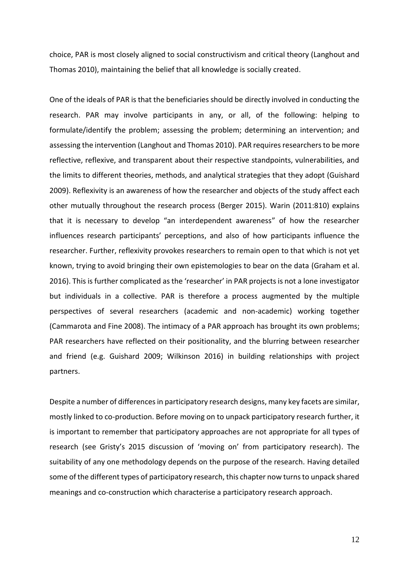choice, PAR is most closely aligned to social constructivism and critical theory (Langhout and Thomas 2010), maintaining the belief that all knowledge is socially created.

One of the ideals of PAR is that the beneficiaries should be directly involved in conducting the research. PAR may involve participants in any, or all, of the following: helping to formulate/identify the problem; assessing the problem; determining an intervention; and assessing the intervention (Langhout and Thomas 2010). PAR requires researchers to be more reflective, reflexive, and transparent about their respective standpoints, vulnerabilities, and the limits to different theories, methods, and analytical strategies that they adopt (Guishard 2009). Reflexivity is an awareness of how the researcher and objects of the study affect each other mutually throughout the research process (Berger 2015). Warin (2011:810) explains that it is necessary to develop "an interdependent awareness" of how the researcher influences research participants' perceptions, and also of how participants influence the researcher. Further, reflexivity provokes researchers to remain open to that which is not yet known, trying to avoid bringing their own epistemologies to bear on the data (Graham et al. 2016). This is further complicated as the 'researcher' in PAR projects is not a lone investigator but individuals in a collective. PAR is therefore a process augmented by the multiple perspectives of several researchers (academic and non-academic) working together (Cammarota and Fine 2008). The intimacy of a PAR approach has brought its own problems; PAR researchers have reflected on their positionality, and the blurring between researcher and friend (e.g. Guishard 2009; Wilkinson 2016) in building relationships with project partners.

Despite a number of differences in participatory research designs, many key facets are similar, mostly linked to co-production. Before moving on to unpack participatory research further, it is important to remember that participatory approaches are not appropriate for all types of research (see Gristy's 2015 discussion of 'moving on' from participatory research). The suitability of any one methodology depends on the purpose of the research. Having detailed some of the different types of participatory research, this chapter now turns to unpack shared meanings and co-construction which characterise a participatory research approach.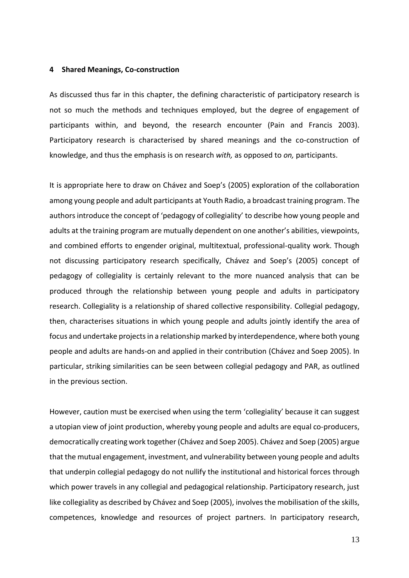#### **4 Shared Meanings, Co-construction**

As discussed thus far in this chapter, the defining characteristic of participatory research is not so much the methods and techniques employed, but the degree of engagement of participants within, and beyond, the research encounter (Pain and Francis 2003). Participatory research is characterised by shared meanings and the co-construction of knowledge, and thus the emphasis is on research *with,* as opposed to *on,* participants.

It is appropriate here to draw on Chávez and Soep's (2005) exploration of the collaboration among young people and adult participants at Youth Radio, a broadcast training program. The authors introduce the concept of 'pedagogy of collegiality' to describe how young people and adults at the training program are mutually dependent on one another's abilities, viewpoints, and combined efforts to engender original, multitextual, professional-quality work. Though not discussing participatory research specifically, Chávez and Soep's (2005) concept of pedagogy of collegiality is certainly relevant to the more nuanced analysis that can be produced through the relationship between young people and adults in participatory research. Collegiality is a relationship of shared collective responsibility. Collegial pedagogy, then, characterises situations in which young people and adults jointly identify the area of focus and undertake projects in a relationship marked by interdependence, where both young people and adults are hands-on and applied in their contribution (Chávez and Soep 2005). In particular, striking similarities can be seen between collegial pedagogy and PAR, as outlined in the previous section.

However, caution must be exercised when using the term 'collegiality' because it can suggest a utopian view of joint production, whereby young people and adults are equal co-producers, democratically creating work together (Chávez and Soep 2005). Chávez and Soep (2005) argue that the mutual engagement, investment, and vulnerability between young people and adults that underpin collegial pedagogy do not nullify the institutional and historical forces through which power travels in any collegial and pedagogical relationship. Participatory research, just like collegiality as described by Chávez and Soep (2005), involvesthe mobilisation of the skills, competences, knowledge and resources of project partners. In participatory research,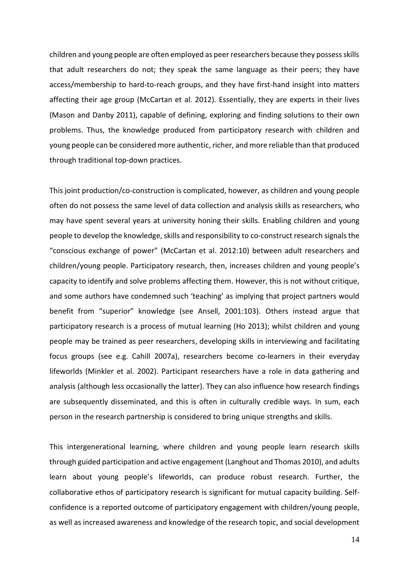children and young people are often employed as peer researchers because they possess skills that adult researchers do not; they speak the same language as their peers; they have access/membership to hard-to-reach groups, and they have first-hand insight into matters affecting their age group (McCartan et al. 2012). Essentially, they are experts in their lives (Mason and Danby 2011), capable of defining, exploring and finding solutions to their own problems. Thus, the knowledge produced from participatory research with children and young people can be considered more authentic, richer, and more reliable than that produced through traditional top-down practices.

This joint production/co-construction is complicated, however, as children and young people often do not possess the same level of data collection and analysis skills as researchers, who may have spent several years at university honing their skills. Enabling children and young people to develop the knowledge, skills and responsibility to co-construct research signals the "conscious exchange of power" (McCartan et al. 2012:10) between adult researchers and children/young people. Participatory research, then, increases children and young people's capacity to identify and solve problems affecting them. However, this is not without critique, and some authors have condemned such 'teaching' as implying that project partners would benefit from "superior" knowledge (see Ansell, 2001:103). Others instead argue that participatory research is a process of mutual learning (Ho 2013); whilst children and young people may be trained as peer researchers, developing skills in interviewing and facilitating focus groups (see e.g. Cahill 2007a), researchers become co-learners in their everyday lifeworlds (Minkler et al. 2002). Participant researchers have a role in data gathering and analysis (although less occasionally the latter). They can also influence how research findings are subsequently disseminated, and this is often in culturally credible ways. In sum, each person in the research partnership is considered to bring unique strengths and skills.

This intergenerational learning, where children and young people learn research skills through guided participation and active engagement (Langhout and Thomas 2010), and adults learn about young people's lifeworlds, can produce robust research. Further, the collaborative ethos of participatory research is significant for mutual capacity building. Selfconfidence is a reported outcome of participatory engagement with children/young people, as well as increased awareness and knowledge of the research topic, and social development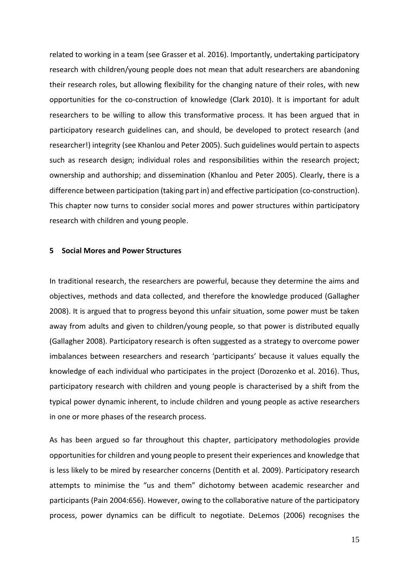related to working in a team (see Grasser et al. 2016). Importantly, undertaking participatory research with children/young people does not mean that adult researchers are abandoning their research roles, but allowing flexibility for the changing nature of their roles, with new opportunities for the co-construction of knowledge (Clark 2010). It is important for adult researchers to be willing to allow this transformative process. It has been argued that in participatory research guidelines can, and should, be developed to protect research (and researcher!) integrity (see Khanlou and Peter 2005). Such guidelines would pertain to aspects such as research design; individual roles and responsibilities within the research project; ownership and authorship; and dissemination (Khanlou and Peter 2005). Clearly, there is a difference between participation (taking part in) and effective participation (co-construction). This chapter now turns to consider social mores and power structures within participatory research with children and young people.

#### **5 Social Mores and Power Structures**

In traditional research, the researchers are powerful, because they determine the aims and objectives, methods and data collected, and therefore the knowledge produced (Gallagher 2008). It is argued that to progress beyond this unfair situation, some power must be taken away from adults and given to children/young people, so that power is distributed equally (Gallagher 2008). Participatory research is often suggested as a strategy to overcome power imbalances between researchers and research 'participants' because it values equally the knowledge of each individual who participates in the project (Dorozenko et al. 2016). Thus, participatory research with children and young people is characterised by a shift from the typical power dynamic inherent, to include children and young people as active researchers in one or more phases of the research process.

As has been argued so far throughout this chapter, participatory methodologies provide opportunities for children and young people to present their experiences and knowledge that is less likely to be mired by researcher concerns (Dentith et al. 2009). Participatory research attempts to minimise the "us and them" dichotomy between academic researcher and participants (Pain 2004:656). However, owing to the collaborative nature of the participatory process, power dynamics can be difficult to negotiate. DeLemos (2006) recognises the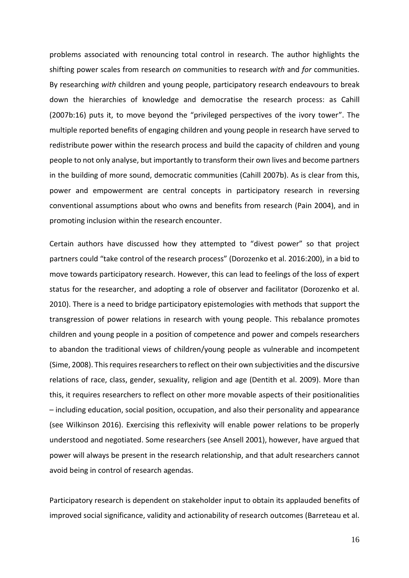problems associated with renouncing total control in research. The author highlights the shifting power scales from research *on* communities to research *with* and *for* communities. By researching *with* children and young people, participatory research endeavours to break down the hierarchies of knowledge and democratise the research process: as Cahill (2007b:16) puts it, to move beyond the "privileged perspectives of the ivory tower". The multiple reported benefits of engaging children and young people in research have served to redistribute power within the research process and build the capacity of children and young people to not only analyse, but importantly to transform their own lives and become partners in the building of more sound, democratic communities (Cahill 2007b). As is clear from this, power and empowerment are central concepts in participatory research in reversing conventional assumptions about who owns and benefits from research (Pain 2004), and in promoting inclusion within the research encounter.

Certain authors have discussed how they attempted to "divest power" so that project partners could "take control of the research process" (Dorozenko et al. 2016:200), in a bid to move towards participatory research. However, this can lead to feelings of the loss of expert status for the researcher, and adopting a role of observer and facilitator (Dorozenko et al. 2010). There is a need to bridge participatory epistemologies with methods that support the transgression of power relations in research with young people. This rebalance promotes children and young people in a position of competence and power and compels researchers to abandon the traditional views of children/young people as vulnerable and incompetent (Sime, 2008). This requires researchers to reflect on their own subjectivities and the discursive relations of race, class, gender, sexuality, religion and age (Dentith et al. 2009). More than this, it requires researchers to reflect on other more movable aspects of their positionalities – including education, social position, occupation, and also their personality and appearance (see Wilkinson 2016). Exercising this reflexivity will enable power relations to be properly understood and negotiated. Some researchers (see Ansell 2001), however, have argued that power will always be present in the research relationship, and that adult researchers cannot avoid being in control of research agendas.

Participatory research is dependent on stakeholder input to obtain its applauded benefits of improved social significance, validity and actionability of research outcomes (Barreteau et al.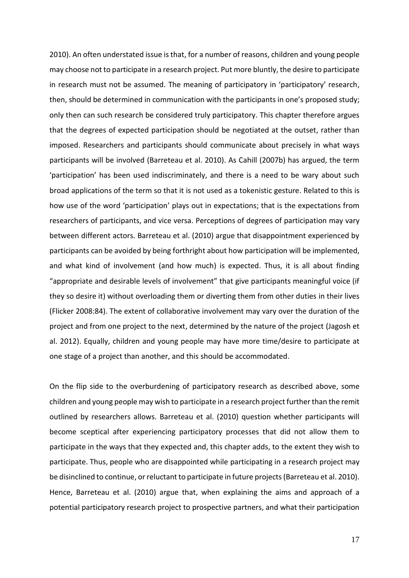2010). An often understated issue is that, for a number of reasons, children and young people may choose not to participate in a research project. Put more bluntly, the desire to participate in research must not be assumed. The meaning of participatory in 'participatory' research, then, should be determined in communication with the participants in one's proposed study; only then can such research be considered truly participatory. This chapter therefore argues that the degrees of expected participation should be negotiated at the outset, rather than imposed. Researchers and participants should communicate about precisely in what ways participants will be involved (Barreteau et al. 2010). As Cahill (2007b) has argued, the term 'participation' has been used indiscriminately, and there is a need to be wary about such broad applications of the term so that it is not used as a tokenistic gesture. Related to this is how use of the word 'participation' plays out in expectations; that is the expectations from researchers of participants, and vice versa. Perceptions of degrees of participation may vary between different actors. Barreteau et al. (2010) argue that disappointment experienced by participants can be avoided by being forthright about how participation will be implemented, and what kind of involvement (and how much) is expected. Thus, it is all about finding "appropriate and desirable levels of involvement" that give participants meaningful voice (if they so desire it) without overloading them or diverting them from other duties in their lives (Flicker 2008:84). The extent of collaborative involvement may vary over the duration of the project and from one project to the next, determined by the nature of the project (Jagosh et al. 2012). Equally, children and young people may have more time/desire to participate at one stage of a project than another, and this should be accommodated.

On the flip side to the overburdening of participatory research as described above, some children and young people may wish to participate in a research project further than the remit outlined by researchers allows. Barreteau et al. (2010) question whether participants will become sceptical after experiencing participatory processes that did not allow them to participate in the ways that they expected and, this chapter adds, to the extent they wish to participate. Thus, people who are disappointed while participating in a research project may be disinclined to continue, or reluctant to participate in future projects (Barreteau et al. 2010). Hence, Barreteau et al. (2010) argue that, when explaining the aims and approach of a potential participatory research project to prospective partners, and what their participation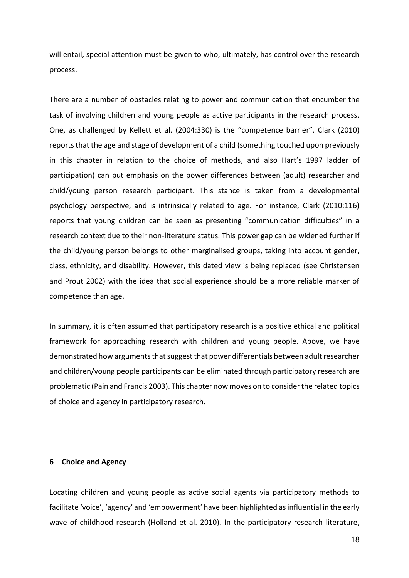will entail, special attention must be given to who, ultimately, has control over the research process.

There are a number of obstacles relating to power and communication that encumber the task of involving children and young people as active participants in the research process. One, as challenged by Kellett et al. (2004:330) is the "competence barrier". Clark (2010) reports that the age and stage of development of a child (something touched upon previously in this chapter in relation to the choice of methods, and also Hart's 1997 ladder of participation) can put emphasis on the power differences between (adult) researcher and child/young person research participant. This stance is taken from a developmental psychology perspective, and is intrinsically related to age. For instance, Clark (2010:116) reports that young children can be seen as presenting "communication difficulties" in a research context due to their non-literature status. This power gap can be widened further if the child/young person belongs to other marginalised groups, taking into account gender, class, ethnicity, and disability. However, this dated view is being replaced (see Christensen and Prout 2002) with the idea that social experience should be a more reliable marker of competence than age.

In summary, it is often assumed that participatory research is a positive ethical and political framework for approaching research with children and young people. Above, we have demonstrated how arguments that suggest that power differentials between adult researcher and children/young people participants can be eliminated through participatory research are problematic (Pain and Francis 2003). This chapter now moves on to consider the related topics of choice and agency in participatory research.

## **6 Choice and Agency**

Locating children and young people as active social agents via participatory methods to facilitate 'voice', 'agency' and 'empowerment' have been highlighted as influential in the early wave of childhood research (Holland et al. 2010). In the participatory research literature,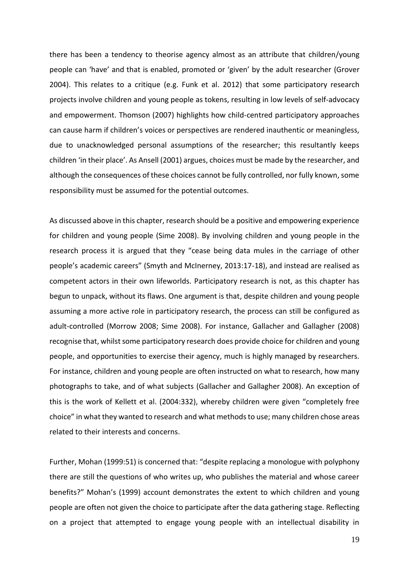there has been a tendency to theorise agency almost as an attribute that children/young people can 'have' and that is enabled, promoted or 'given' by the adult researcher (Grover 2004). This relates to a critique (e.g. Funk et al. 2012) that some participatory research projects involve children and young people as tokens, resulting in low levels of self-advocacy and empowerment. Thomson (2007) highlights how child-centred participatory approaches can cause harm if children's voices or perspectives are rendered inauthentic or meaningless, due to unacknowledged personal assumptions of the researcher; this resultantly keeps children 'in their place'. As Ansell (2001) argues, choices must be made by the researcher, and although the consequences of these choices cannot be fully controlled, nor fully known, some responsibility must be assumed for the potential outcomes.

As discussed above in this chapter, research should be a positive and empowering experience for children and young people (Sime 2008). By involving children and young people in the research process it is argued that they "cease being data mules in the carriage of other people's academic careers" (Smyth and McInerney, 2013:17-18), and instead are realised as competent actors in their own lifeworlds. Participatory research is not, as this chapter has begun to unpack, without its flaws. One argument is that, despite children and young people assuming a more active role in participatory research, the process can still be configured as adult-controlled (Morrow 2008; Sime 2008). For instance, Gallacher and Gallagher (2008) recognise that, whilst some participatory research does provide choice for children and young people, and opportunities to exercise their agency, much is highly managed by researchers. For instance, children and young people are often instructed on what to research, how many photographs to take, and of what subjects (Gallacher and Gallagher 2008). An exception of this is the work of Kellett et al. (2004:332), whereby children were given "completely free choice" in what they wanted to research and what methods to use; many children chose areas related to their interests and concerns.

Further, Mohan (1999:51) is concerned that: "despite replacing a monologue with polyphony there are still the questions of who writes up, who publishes the material and whose career benefits?" Mohan's (1999) account demonstrates the extent to which children and young people are often not given the choice to participate after the data gathering stage. Reflecting on a project that attempted to engage young people with an intellectual disability in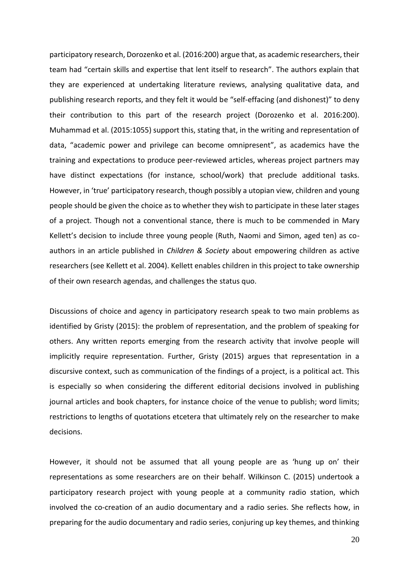participatory research, Dorozenko et al. (2016:200) argue that, as academic researchers, their team had "certain skills and expertise that lent itself to research". The authors explain that they are experienced at undertaking literature reviews, analysing qualitative data, and publishing research reports, and they felt it would be "self-effacing (and dishonest)" to deny their contribution to this part of the research project (Dorozenko et al. 2016:200). Muhammad et al. (2015:1055) support this, stating that, in the writing and representation of data, "academic power and privilege can become omnipresent", as academics have the training and expectations to produce peer-reviewed articles, whereas project partners may have distinct expectations (for instance, school/work) that preclude additional tasks. However, in 'true' participatory research, though possibly a utopian view, children and young people should be given the choice as to whether they wish to participate in these later stages of a project. Though not a conventional stance, there is much to be commended in Mary Kellett's decision to include three young people (Ruth, Naomi and Simon, aged ten) as coauthors in an article published in *Children & Society* about empowering children as active researchers (see Kellett et al. 2004). Kellett enables children in this project to take ownership of their own research agendas, and challenges the status quo.

Discussions of choice and agency in participatory research speak to two main problems as identified by Gristy (2015): the problem of representation, and the problem of speaking for others. Any written reports emerging from the research activity that involve people will implicitly require representation. Further, Gristy (2015) argues that representation in a discursive context, such as communication of the findings of a project, is a political act. This is especially so when considering the different editorial decisions involved in publishing journal articles and book chapters, for instance choice of the venue to publish; word limits; restrictions to lengths of quotations etcetera that ultimately rely on the researcher to make decisions.

However, it should not be assumed that all young people are as 'hung up on' their representations as some researchers are on their behalf. Wilkinson C. (2015) undertook a participatory research project with young people at a community radio station, which involved the co-creation of an audio documentary and a radio series. She reflects how, in preparing for the audio documentary and radio series, conjuring up key themes, and thinking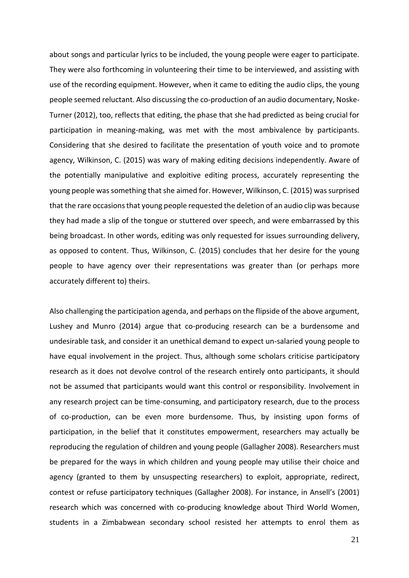about songs and particular lyrics to be included, the young people were eager to participate. They were also forthcoming in volunteering their time to be interviewed, and assisting with use of the recording equipment. However, when it came to editing the audio clips, the young people seemed reluctant. Also discussing the co-production of an audio documentary, Noske-Turner (2012), too, reflects that editing, the phase that she had predicted as being crucial for participation in meaning-making, was met with the most ambivalence by participants. Considering that she desired to facilitate the presentation of youth voice and to promote agency, Wilkinson, C. (2015) was wary of making editing decisions independently. Aware of the potentially manipulative and exploitive editing process, accurately representing the young people was something that she aimed for. However, Wilkinson, C. (2015) was surprised that the rare occasions that young people requested the deletion of an audio clip was because they had made a slip of the tongue or stuttered over speech, and were embarrassed by this being broadcast. In other words, editing was only requested for issues surrounding delivery, as opposed to content. Thus, Wilkinson, C. (2015) concludes that her desire for the young people to have agency over their representations was greater than (or perhaps more accurately different to) theirs.

Also challenging the participation agenda, and perhaps on the flipside of the above argument, Lushey and Munro (2014) argue that co-producing research can be a burdensome and undesirable task, and consider it an unethical demand to expect un-salaried young people to have equal involvement in the project. Thus, although some scholars criticise participatory research as it does not devolve control of the research entirely onto participants, it should not be assumed that participants would want this control or responsibility. Involvement in any research project can be time-consuming, and participatory research, due to the process of co-production, can be even more burdensome. Thus, by insisting upon forms of participation, in the belief that it constitutes empowerment, researchers may actually be reproducing the regulation of children and young people (Gallagher 2008). Researchers must be prepared for the ways in which children and young people may utilise their choice and agency (granted to them by unsuspecting researchers) to exploit, appropriate, redirect, contest or refuse participatory techniques (Gallagher 2008). For instance, in Ansell's (2001) research which was concerned with co-producing knowledge about Third World Women, students in a Zimbabwean secondary school resisted her attempts to enrol them as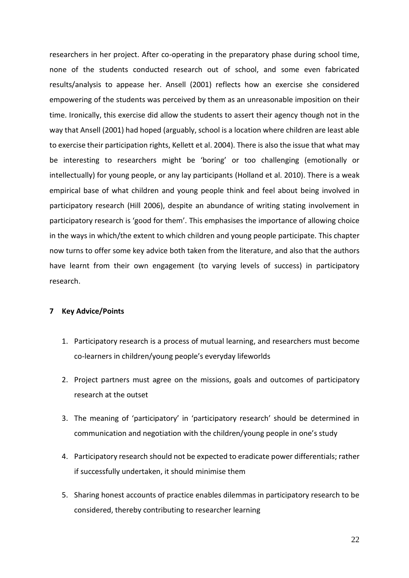researchers in her project. After co-operating in the preparatory phase during school time, none of the students conducted research out of school, and some even fabricated results/analysis to appease her. Ansell (2001) reflects how an exercise she considered empowering of the students was perceived by them as an unreasonable imposition on their time. Ironically, this exercise did allow the students to assert their agency though not in the way that Ansell (2001) had hoped (arguably, school is a location where children are least able to exercise their participation rights, Kellett et al. 2004). There is also the issue that what may be interesting to researchers might be 'boring' or too challenging (emotionally or intellectually) for young people, or any lay participants (Holland et al. 2010). There is a weak empirical base of what children and young people think and feel about being involved in participatory research (Hill 2006), despite an abundance of writing stating involvement in participatory research is 'good for them'. This emphasises the importance of allowing choice in the ways in which/the extent to which children and young people participate. This chapter now turns to offer some key advice both taken from the literature, and also that the authors have learnt from their own engagement (to varying levels of success) in participatory research.

## **7 Key Advice/Points**

- 1. Participatory research is a process of mutual learning, and researchers must become co-learners in children/young people's everyday lifeworlds
- 2. Project partners must agree on the missions, goals and outcomes of participatory research at the outset
- 3. The meaning of 'participatory' in 'participatory research' should be determined in communication and negotiation with the children/young people in one's study
- 4. Participatory research should not be expected to eradicate power differentials; rather if successfully undertaken, it should minimise them
- 5. Sharing honest accounts of practice enables dilemmas in participatory research to be considered, thereby contributing to researcher learning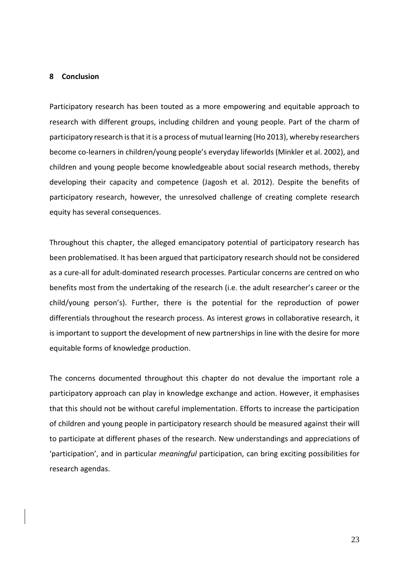### **8 Conclusion**

Participatory research has been touted as a more empowering and equitable approach to research with different groups, including children and young people. Part of the charm of participatory research is that it is a process of mutual learning (Ho 2013), whereby researchers become co-learners in children/young people's everyday lifeworlds (Minkler et al. 2002), and children and young people become knowledgeable about social research methods, thereby developing their capacity and competence (Jagosh et al. 2012). Despite the benefits of participatory research, however, the unresolved challenge of creating complete research equity has several consequences.

Throughout this chapter, the alleged emancipatory potential of participatory research has been problematised. It has been argued that participatory research should not be considered as a cure-all for adult-dominated research processes. Particular concerns are centred on who benefits most from the undertaking of the research (i.e. the adult researcher's career or the child/young person's). Further, there is the potential for the reproduction of power differentials throughout the research process. As interest grows in collaborative research, it is important to support the development of new partnerships in line with the desire for more equitable forms of knowledge production.

The concerns documented throughout this chapter do not devalue the important role a participatory approach can play in knowledge exchange and action. However, it emphasises that this should not be without careful implementation. Efforts to increase the participation of children and young people in participatory research should be measured against their will to participate at different phases of the research. New understandings and appreciations of 'participation', and in particular *meaningful* participation, can bring exciting possibilities for research agendas.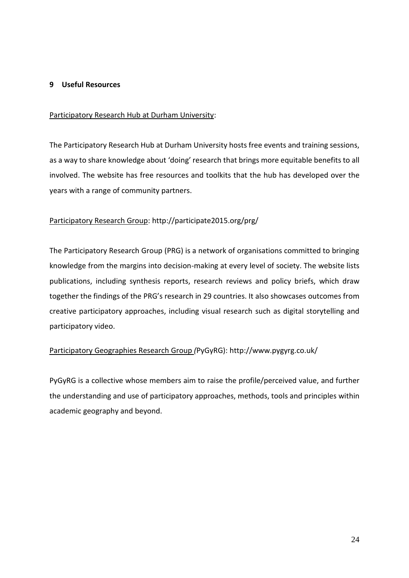# **9 Useful Resources**

## Participatory Research Hub at Durham University:

The Participatory Research Hub at Durham University hosts free events and training sessions, as a way to share knowledge about 'doing' research that brings more equitable benefits to all involved. The website has free resources and toolkits that the hub has developed over the years with a range of community partners.

# Participatory Research Group: http://participate2015.org/prg/

The Participatory Research Group (PRG) is a network of organisations committed to bringing knowledge from the margins into decision-making at every level of society. The website lists publications, including synthesis reports, research reviews and policy briefs, which draw together the findings of the PRG's research in 29 countries. It also showcases outcomes from creative participatory approaches, including visual research such as digital storytelling and participatory video.

# [Participatory](file:///C:/Users/Steph/Downloads/Participatory%20Geographies%20Research%20Group) Geographies Research Group *(*PyGyRG): http://www.pygyrg.co.uk/

PyGyRG is a collective whose members aim to raise the profile/perceived value, and further the understanding and use of participatory approaches, methods, tools and principles within academic geography and beyond.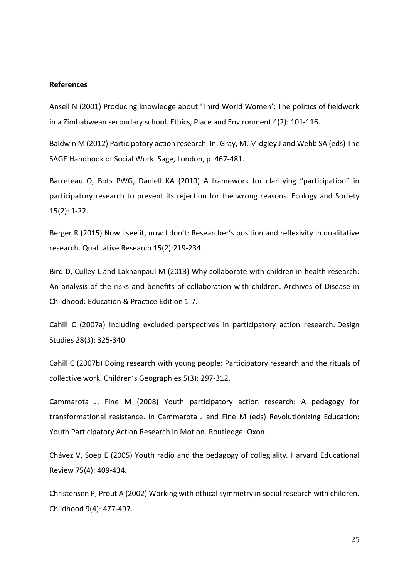### **References**

Ansell N (2001) Producing knowledge about 'Third World Women': The politics of fieldwork in a Zimbabwean secondary school. Ethics, Place and Environment 4(2): 101-116.

Baldwin M (2012) Participatory action research. In: Gray, M, Midgley J and Webb SA (eds) The SAGE Handbook of Social Work. Sage, London, p. 467-481.

Barreteau O, Bots PWG, Daniell KA (2010) A framework for clarifying "participation" in participatory research to prevent its rejection for the wrong reasons. Ecology and Society 15(2): 1-22.

Berger R (2015) Now I see it, now I don't: Researcher's position and reflexivity in qualitative research. Qualitative Research 15(2):219-234.

Bird D, Culley L and Lakhanpaul M (2013) Why collaborate with children in health research: An analysis of the risks and benefits of collaboration with children. Archives of Disease in Childhood: Education & Practice Edition 1-7.

Cahill C (2007a) Including excluded perspectives in participatory action research. Design Studies 28(3): 325-340.

Cahill C (2007b) Doing research with young people: Participatory research and the rituals of collective work. Children's Geographies 5(3): 297-312.

Cammarota J, Fine M (2008) Youth participatory action research: A pedagogy for transformational resistance. In Cammarota J and Fine M (eds) Revolutionizing Education: Youth Participatory Action Research in Motion. Routledge: Oxon.

Chávez V, Soep E (2005) Youth radio and the pedagogy of collegiality*.* Harvard Educational Review 75(4): 409-434.

Christensen P, Prout A (2002) Working with ethical symmetry in social research with children. Childhood 9(4): 477-497.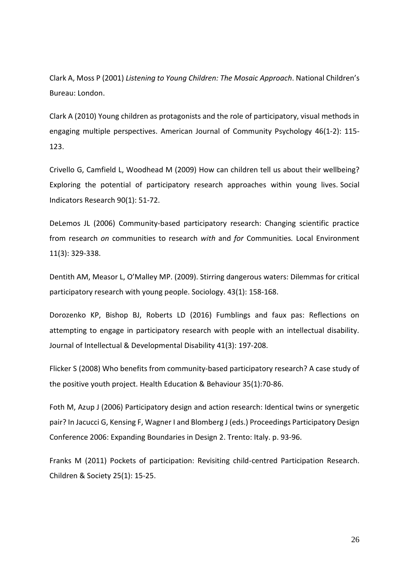Clark A, Moss P (2001) *Listening to Young Children: The Mosaic Approach*. National Children's Bureau: London.

Clark A (2010) Young children as protagonists and the role of participatory, visual methods in engaging multiple perspectives. American Journal of Community Psychology 46(1-2): 115- 123.

Crivello G, Camfield L, Woodhead M (2009) How can children tell us about their wellbeing? Exploring the potential of participatory research approaches within young lives. Social Indicators Research 90(1): 51-72.

DeLemos JL (2006) Community-based participatory research: Changing scientific practice from research *on* communities to research *with* and *for* Communities*.* Local Environment 11(3): 329-338.

Dentith AM, Measor L, O'Malley MP. (2009). Stirring dangerous waters: Dilemmas for critical participatory research with young people. Sociology. 43(1): 158-168.

Dorozenko KP, Bishop BJ, Roberts LD (2016) Fumblings and faux pas: Reflections on attempting to engage in participatory research with people with an intellectual disability. Journal of Intellectual & Developmental Disability 41(3): 197-208.

Flicker S (2008) Who benefits from community-based participatory research? A case study of the positive youth project. Health Education & Behaviour 35(1):70-86.

Foth M, Azup J (2006) Participatory design and action research: Identical twins or synergetic pair? In Jacucci G, Kensing F, Wagner I and Blomberg J (eds.) Proceedings Participatory Design Conference 2006: Expanding Boundaries in Design 2. Trento: Italy. p. 93-96.

Franks M (2011) Pockets of participation: Revisiting child-centred Participation Research. Children & Society 25(1): 15-25.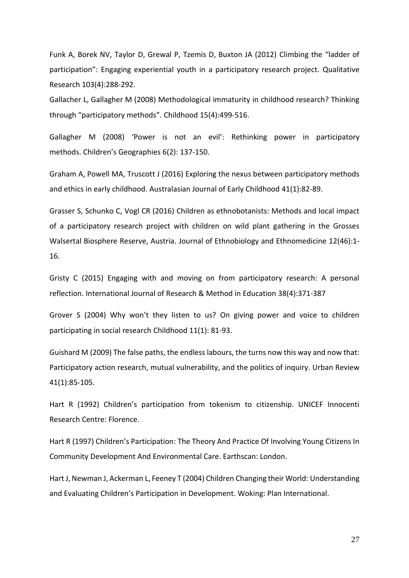Funk A, Borek NV, Taylor D, Grewal P, Tzemis D, Buxton JA (2012) Climbing the "ladder of participation": Engaging experiential youth in a participatory research project. Qualitative Research 103(4):288-292.

Gallacher L, Gallagher M (2008) Methodological immaturity in childhood research? Thinking through "participatory methods". Childhood 15(4):499-516.

Gallagher M (2008) 'Power is not an evil': Rethinking power in participatory methods. Children's Geographies 6(2): 137-150.

Graham A, Powell MA, Truscott J (2016) Exploring the nexus between participatory methods and ethics in early childhood. Australasian Journal of Early Childhood 41(1):82-89.

Grasser S, Schunko C, Vogl CR (2016) Children as ethnobotanists: Methods and local impact of a participatory research project with children on wild plant gathering in the Grosses Walsertal Biosphere Reserve, Austria. Journal of Ethnobiology and Ethnomedicine 12(46):1- 16.

Gristy C (2015) Engaging with and moving on from participatory research: A personal reflection. International Journal of Research & Method in Education 38(4):371-387

Grover S (2004) Why won't they listen to us? On giving power and voice to children participating in social research Childhood 11(1): 81-93.

Guishard M (2009) The false paths, the endless labours, the turns now this way and now that: Participatory action research, mutual vulnerability, and the politics of inquiry. Urban Review 41(1):85-105.

Hart R (1992) Children's participation from tokenism to citizenship. UNICEF Innocenti Research Centre: Florence.

Hart R (1997) Children's Participation: The Theory And Practice Of Involving Young Citizens In Community Development And Environmental Care. Earthscan: London.

Hart J, Newman J, Ackerman L, Feeney T (2004) Children Changing their World: Understanding and Evaluating Children's Participation in Development. Woking: Plan International.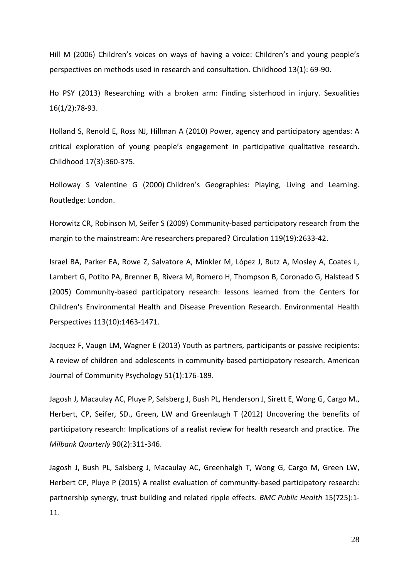Hill M (2006) Children's voices on ways of having a voice: Children's and young people's perspectives on methods used in research and consultation. Childhood 13(1): 69-90.

Ho PSY (2013) Researching with a broken arm: Finding sisterhood in injury. Sexualities 16(1/2):78-93.

Holland S, Renold E, Ross NJ, Hillman A (2010) Power, agency and participatory agendas: A critical exploration of young people's engagement in participative qualitative research. Childhood 17(3):360-375.

Holloway S Valentine G (2000) Children's Geographies: Playing, Living and Learning. Routledge: London.

Horowitz CR, Robinson M, Seifer S (2009) Community-based participatory research from the margin to the mainstream: Are researchers prepared? Circulation 119(19):2633-42.

Israel BA, Parker EA, Rowe Z, Salvatore A, Minkler M, López J, Butz A, Mosley A, Coates L, Lambert G, Potito PA, Brenner B, Rivera M, Romero H, Thompson B, Coronado G, Halstead S (2005) Community-based participatory research: lessons learned from the Centers for Children's Environmental Health and Disease Prevention Research. Environmental Health Perspectives 113(10):1463-1471.

Jacquez F, Vaugn LM, Wagner E (2013) Youth as partners, participants or passive recipients: A review of children and adolescents in community-based participatory research. American Journal of Community Psychology 51(1):176-189.

Jagosh J, Macaulay AC, Pluye P, Salsberg J, Bush PL, Henderson J, Sirett E, Wong G, Cargo M., Herbert, CP, Seifer, SD., Green, LW and Greenlaugh T (2012) Uncovering the benefits of participatory research: Implications of a realist review for health research and practice. *The Milbank Quarterly* 90(2):311-346.

Jagosh J, Bush PL, Salsberg J, Macaulay AC, Greenhalgh T, Wong G, Cargo M, Green LW, Herbert CP, Pluye P (2015) A realist evaluation of community-based participatory research: partnership synergy, trust building and related ripple effects. *BMC Public Health* 15(725):1- 11.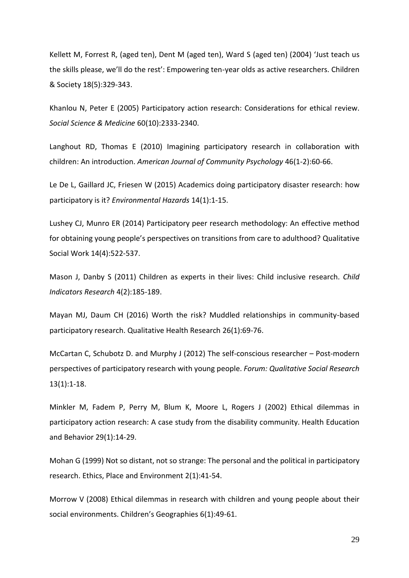Kellett M, Forrest R, (aged ten), Dent M (aged ten), Ward S (aged ten) (2004) 'Just teach us the skills please, we'll do the rest': Empowering ten-year olds as active researchers. Children & Society 18(5):329-343.

Khanlou N, Peter E (2005) Participatory action research: Considerations for ethical review. *Social Science & Medicine* 60(10):2333-2340.

Langhout RD, Thomas E (2010) Imagining participatory research in collaboration with children: An introduction. *American Journal of Community Psychology* 46(1-2):60-66.

Le De L, Gaillard JC, Friesen W (2015) Academics doing participatory disaster research: how participatory is it? *Environmental Hazards* 14(1):1-15.

Lushey CJ, Munro ER (2014) Participatory peer research methodology: An effective method for obtaining young people's perspectives on transitions from care to adulthood? Qualitative Social Work 14(4):522-537.

Mason J, Danby S (2011) Children as experts in their lives: Child inclusive research. *Child Indicators Research* 4(2):185-189.

Mayan MJ, Daum CH (2016) Worth the risk? Muddled relationships in community-based participatory research. Qualitative Health Research 26(1):69-76.

McCartan C, Schubotz D. and Murphy J (2012) The self-conscious researcher – Post-modern perspectives of participatory research with young people. *Forum: Qualitative Social Research* 13(1):1-18.

Minkler M, Fadem P, Perry M, Blum K, Moore L, Rogers J (2002) Ethical dilemmas in participatory action research: A case study from the disability community. Health Education and Behavior 29(1):14-29.

Mohan G (1999) Not so distant, not so strange: The personal and the political in participatory research. Ethics, Place and Environment 2(1):41-54.

Morrow V (2008) Ethical dilemmas in research with children and young people about their social environments. Children's Geographies 6(1):49-61.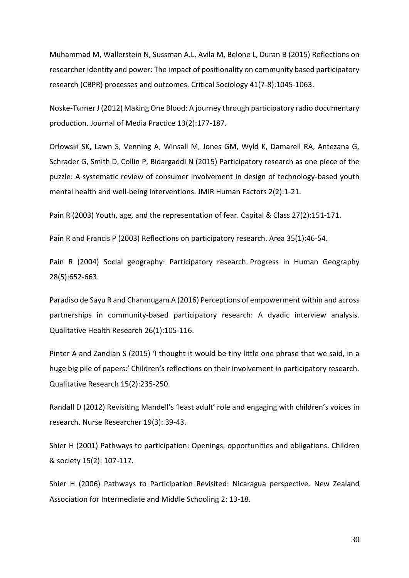Muhammad M, Wallerstein N, Sussman A.L, Avila M, Belone L, Duran B (2015) Reflections on researcher identity and power: The impact of positionality on community based participatory research (CBPR) processes and outcomes. Critical Sociology 41(7-8):1045-1063.

Noske-Turner J (2012) Making One Blood: A journey through participatory radio documentary production. Journal of Media Practice 13(2):177-187.

Orlowski SK, Lawn S, Venning A, Winsall M, Jones GM, Wyld K, Damarell RA, Antezana G, Schrader G, Smith D, Collin P, Bidargaddi N (2015) Participatory research as one piece of the puzzle: A systematic review of consumer involvement in design of technology-based youth mental health and well-being interventions. JMIR Human Factors 2(2):1-21.

Pain R (2003) Youth, age, and the representation of fear. Capital & Class 27(2):151-171.

Pain R and Francis P (2003) Reflections on participatory research. Area 35(1):46-54.

Pain R (2004) Social geography: Participatory research. Progress in Human Geography 28(5):652-663.

Paradiso de Sayu R and Chanmugam A (2016) Perceptions of empowerment within and across partnerships in community-based participatory research: A dyadic interview analysis. Qualitative Health Research 26(1):105-116.

Pinter A and Zandian S (2015) 'I thought it would be tiny little one phrase that we said, in a huge big pile of papers:' Children's reflections on their involvement in participatory research. Qualitative Research 15(2):235-250.

Randall D (2012) Revisiting Mandell's 'least adult' role and engaging with children's voices in research. Nurse Researcher 19(3): 39-43.

Shier H (2001) Pathways to participation: Openings, opportunities and obligations. Children & society 15(2): 107-117.

Shier H (2006) Pathways to Participation Revisited: Nicaragua perspective. New Zealand Association for Intermediate and Middle Schooling 2: 13-18.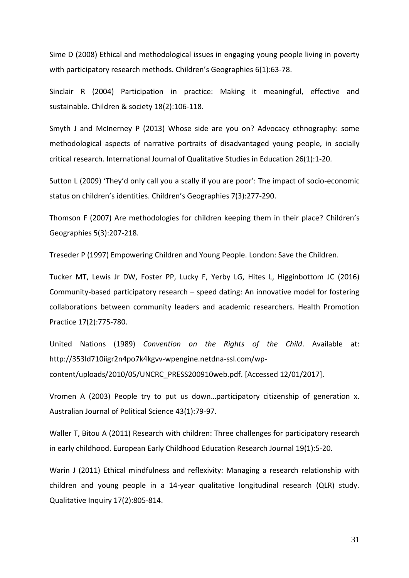Sime D (2008) Ethical and methodological issues in engaging young people living in poverty with participatory research methods. Children's Geographies 6(1):63-78.

Sinclair R (2004) Participation in practice: Making it meaningful, effective and sustainable. Children & society 18(2):106-118.

Smyth J and McInerney P (2013) Whose side are you on? Advocacy ethnography: some methodological aspects of narrative portraits of disadvantaged young people, in socially critical research. International Journal of Qualitative Studies in Education 26(1):1-20.

Sutton L (2009) 'They'd only call you a scally if you are poor': The impact of socio-economic status on children's identities. Children's Geographies 7(3):277-290.

Thomson F (2007) Are methodologies for children keeping them in their place? Children's Geographies 5(3):207-218.

Treseder P (1997) Empowering Children and Young People. London: Save the Children.

Tucker MT, Lewis Jr DW, Foster PP, Lucky F, Yerby LG, Hites L, Higginbottom JC (2016) Community-based participatory research – speed dating: An innovative model for fostering collaborations between community leaders and academic researchers. Health Promotion Practice 17(2):775-780.

United Nations (1989) *Convention on the Rights of the Child*. Available at: http://353ld710iigr2n4po7k4kgvv-wpengine.netdna-ssl.com/wpcontent/uploads/2010/05/UNCRC\_PRESS200910web.pdf. [Accessed 12/01/2017].

Vromen A (2003) People try to put us down…participatory citizenship of generation x. Australian Journal of Political Science 43(1):79-97.

Waller T, Bitou A (2011) Research with children: Three challenges for participatory research in early childhood. European Early Childhood Education Research Journal 19(1):5-20.

Warin J (2011) Ethical mindfulness and reflexivity: Managing a research relationship with children and young people in a 14-year qualitative longitudinal research (QLR) study. Qualitative Inquiry 17(2):805-814.